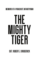## **MEMOIRS OF A PARACHUTE INFANTRYMAN**

# THE MIGHTY TIGER

## SGT ROBERT J BRODERICK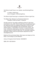

Visit Shine-A-Light Press on our website: www.ShineALightPress. com;

> on Twitter: @SALPress; and on Instagram: @ShineALightCorp

The Shine-A-Light Press logo is a trademark of Shine-A-Light Corp.

The Mighty Tiger: Memoirs of a Parachute Infantryman Copyright © 2022 by Robert T. Broderick

All rights reserved. First edition published by Shine-A-Light Press and printed in June, 2022. Shine-A-Light Press and associated logos are trademarks and/or are registered trademarks of Shine-A-Light Corp. No part of this publication may be reproduced, stored in a retrieval system, or transmitted in any form or by any means, electronic, mechanical, photocopying, recording, or otherwise without written permission of Shine-A-Light Corp. For information regarding permission, please contact the permissions department at www. shinealightcorp.com.

Edited by Chris and Andrea Elston. Book layout and design by Chris Elston. Cover design by Liana Moisescu

Library of Congress Control Number: 2022938972

ISBN: 978-1-953158-86-4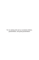For my darling wife and our wonderful children, grandchildren, and great grandchildren.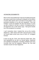### ACKNOWLEDGMENTS

Much of the memorabilia that I had accumulated during the war years would have continued to languish at the bottom of some desk drawer had it not been for the gentle, if not persistent plodding of my wife and daughters. They had insisted I could put together the bits and pieces to come up with a history of my life in uniform. Considering that it all happened over a half century ago, I had grave doubts as to the prospects for success.

I can't remember when I started this, but as the months slipped by, I often said to hell with it and just gave up. But my lovely ladies would have none of that, so I struggled forward.

It was my big girl, Carol, who kept the project alive. She had repeatedly put up with my mental lapses, disjointed and repetitious paragraphs, countless mistakes and more re-writes than can be imagined. Without her, this brief narrative would not have happened.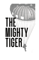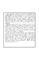you probably will find my mimoiss interesting ever though they are parily subjective and written with my children and grand children in mind: No blood an guts, hooge nor ladies. And I have skipped hitare sometime macabie, possibly illegal, immoral and. other details of life in the Paratroops that helped a retain our sanity. That stuff is best left for the reunions wherein we can be to each other with impunity. Mimory bung what it is I make no claim as to histoned accuracy wer fastual accounting of what m or may not have transpired during those long monte But in many ways the photos, letters and other memorbilia that I had stand away long ago. when minories of events were still fresh - have hely put most of the puces together. When my eldist granddaughter was about ten ye old she sat down at her grandmothers typewriter a pecked out a brief synopsis of life as she ruwed it. Among other things, her grandmother was the "on Medless to say the family picked up on that mily tiger and over time I became the Mighty light is my wege, children and grandchildren. Hence the title of my huif minors.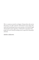*War is a country no traveler ever forgets. It haunts those who survive*  the journey as no other experience. The memories of war cling to the *mind with astonishing tenacity, and sometimes, in the dark of night*  when the glow of your cigarette is a distant fire in some place most *people have never heard of, nothing seems to equal their demand for attention.*

#### Author unknown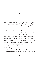\_\_\_\_\_\_\_\_\_\_\_\_\_\_\_\_\_\_\_\_\_\_\_\_\_\_\_\_\_\_\_\_\_\_\_\_

*Somehow fate seems to lie in wait for the unwary. How could I have possibly known that the infantry was in my future and would forever cast its shadow over my life?*

The evening of December 11, 1939, Dick Gaston came into the local drug store at the corner of 45th and Latona where Stan Bever was playing the store's only pinball machine as Bill Parfitt and I watched. Dick was a corporal in Headquarters Battery, 2nd Battalion, 146th Field Artillery, Washington National Guard. His uniform was the standard WWI type artilleryman's "boots and britches," and we decided, as a laugh, to go down to the new armory and watch Dick "march."

I don't know who decided we ought to enlist, but enlist we did. Actually, upon further reflection, it must have been Stan as he was the first to do it. Oddly, both Bill and I had been talking about joining the Naval Air Reserve at Sand Point, but at the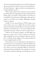time I was not quite old enough. As it was, I had to lie about my age to join the Guards. And so, the three of us, Stan, Bill and I – the three Musketeers – lightly entered into something that was to profoundly affect our lives.

When I told my father what I had done, he just wondered aloud if it had been the right thing to do, but recognized that my brother, John, was already in the Naval Reserve, and Tom was in the ROTC at the University of Washington and would soon transfer to the 205th Coast Artillery, Washington National Guard, as a sergeant.

Initially, we were issued uniforms of WWI vintage: coarse wool, whatever sizes were available. But just before summer camp at Camp Murray, located adjacent to Army and Air Force Joint Base Lewis-McChord, we were issued regulation OD's, and the boots, britches, and heavy woolens were gone forever.

With the war in Europe in progress, our drill nights went from once a week to twice a week. As a private, I received one dollar a drill night. So now I was making two dollars a week. Not bad – a small but welcome addition to my empty pocketbook in the very tough job market of 1940.

That summer saw us at Camp Murray for participation in Army maneuvers. I was a message center clerk. The regular Army men considered us Boy Scouts and paid but passing contempt for us. But, at our level, it made little difference, and all of us enjoyed Army life in the field. But I do remember one evening, as an infantry outfit from Montana came through our area on a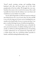"forced" march, sweating, cursing, and stumbling along, burdened with rifles and heavy packs and all the other paraphernalia of the foot soldier. We thought they were nuts. Somehow fate seems to lie in wait for the unwary. How could I possibly have known that the infantry was in my future and would forever cast its shadow over my life?

On the 16th of September in 1940, the Guard was inducted into Federal Service for a year of active duty. For Stan and Bill it was to be five long years of active service including forty-one months in the South Pacific. For me, it was just nine days. I was given a medical discharge because of malfunctioning kidneys.

It is hard for me, even after all these years, to describe the utter personal devastation of suddenly finding myself on the outside, cut off from my life-long buddies because of something I neither understood, nor was prepared for. Especially since a civilian doctor, who was a prominent kidney specialist in Seattle, could find nothing fundamentally wrong.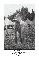

Pvt. Bob Broderick 146th Field Artillery Washington National Guard 1940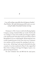\_\_\_\_\_\_\_\_\_\_\_\_\_\_\_\_\_\_\_\_\_\_\_\_\_\_\_\_\_\_\_\_\_\_\_\_

*I was still working swing shi when the Japanese bombed Pearl Harbor. The radio had announced the raid as we were eating breakfast that fateful Sunday morning.*

On January 2, 1941, I went to work for the Boeing Airplane Company, earning a hundred dollars per month. My first job was working on various sub-assembly parts being put together at the old Kenworth Truck plant located a few blocks south of Boeing Plant #2. It was a stupefying job. All day long I put rivets in holes, handed the parts to the riveter who sat at a stationary rivet machine and foot-actuated the smashing of each rivet – one at a time - all day long. I only stayed at that job for less than a month as I was then transferred to Plant #1 (the original Red Barn) where working on the huge 314 Clippers, I spent a very pleasant spring and summer.

On most weekends, Stan and Bill had the usual passes,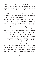and we continued to fool around much as before. In fact, they seldom even wore their uniforms. But in August, I was transferred back to Plant #2 and put on the swing shift, so I began to see less and less of the guys. Initially, I worked in the balcony paint shop doping B-17 control surfaces that, in those days, were fabriccovered. It was another boring job. After a couple months of smelling dope (aka lacquer,) I asked to be transferred down to the main floor to begin work on the second B-17E to be built. When I arrived, that huge assembly area was empty except for a B-17E that was largely completed, and the skeleton of the second one that I began working on. Both of these airplanes were assembled largely from blueprints and the guidance of the engineers and veterans of earlier model B-17 production. I was to stay on that job for the next fifteen months to be a participant and witness to the fantastic growth from that modest beginning to the mass production of such a magnificent airplane which formed the basis for America's heavy bombardment fleet.

I was still working swing shift when the Japanese bombed Pearl Harbor. The radio had announced the raid as we were eating breakfast that fateful Sunday morning. My mother had cried as my brother John was thought to be there.

A day or two later I was sent down to the neighborhood Japanese-owned dry cleaner and shoemaker to pick up some items. The entire family at the cleaners were just sobbing. The little Japanese shoemaker, who had repaired our shoes for as long as I could remember, and who had sons and daughters in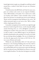Seattle high schools, simply sat as though his world had crashed around him, as indeed it had. Both were put out of business within days.

I should mention that Bill Parfitt and I had, for many years, gone out to dinner and a movie on our respective birthdays. And as Bill's birthday is December 7th, we did not let a little war interfere with tradition. I don't remember where we had dinner, but I do know we attended some movie at the Orpheum Theater and the management kept flashing on the screen, "All military personnel report to your unit at once." Bill, in civilian clothes, simply ignored the notice.

I remember coming home from work the next night through downtown Seattle along 4th Avenue, crowds of people milling around, throwing rocks, etc. at the still-lighted, second-story clothing store windows when most of the city was blacked out in order to make it a more difficult target in case the Japanese decided to drop bombs on the mainland. As I recall, it was a little bit scary driving without headlights. The view of a blacked-out city from the upper porch of my home at 4523 5th Ave. N.E. was a scene of beauty and wonder.

Within the week, Bob Kiebler (KIA 12/7/44) and I went downtown to the Exchange Building when the Navy held its tests for prospective aviation cadets. The mental exams were easy, and both Bob and I were instructed to report the following day for our physical exams. Bob flunked out almost at once due to an irregular heartbeat. Two days later, having just successfully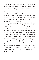completed the tough physical exam that my friend couldn't pass, I was told that I had failed the final exam. Kidneys again. Moreover, the Navy, in their infinite wisdom, would have nothing further to do with me, even though, as one medical officer pointed out, my specialty as a journeyman aircraft assembler was desperately needed. In retrospect, I'm happy for the Navy's arrogance, for if they had accepted me, I most assuredly would have spent the rest of the war repairing Navy airplanes in some god-forsaken hole in the South Pacific, or below decks on some aircraft carrier.

I went back to Boeing, while soon thereafter, the 41st Infantry Division headed overseas taking with it Stan and Bill and thousands of others for their rendezvous with destiny.

In September, I received my draft notice but thought little about it. I had already flunked out of the Army, and the Navy rejected me, so I didn't bother to advise my supervisors at Boeing. If I had, they would have insisted on a deferment as the production shops were critically short of skilled personnel at the time. I reported to the Draft Board but did not mention any physical problems. Consequently, I was listed as 1-A and ordered to appear for a physical. A Greyhound bus took a load of us to Tacoma and what passed for a physical was completed in about an hour. The standard joke in those days was that "one doctor looked down your throat while, at the same time, another doctor looked up your ass. If they couldn't see each other, you were in."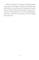Amid the confusion of so many guys all taking a physical at the same time, I managed to switch my urine specimen with only God knows who, and so I passed. During the time needed to process the paperwork and the swearing-in ceremony, I went to a movie at some local theater: "At Last." It seemed appropriate at that time, as it still does in my memory, for *at last* I was going to be in the service.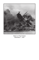

Attack on Pearl Harbor December 7, 1941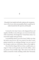\_\_\_\_\_\_\_\_\_\_\_\_\_\_\_\_\_\_\_\_\_\_\_\_\_\_\_\_\_\_\_\_\_\_\_\_

*I boarded a bus loaded with other inductees for transportation to Fort Lewis where presumably all of us would soon be indoctrinated into the mysteries of Army life.*

I returned to the Army Center at the designated hour, and together with fifty or sixty other guys, was sworn into the Army of the United States. The designation "United States Army" was reserved for regular Army personnel.

I was absolutely elated. I was in the Army! I didn't care what fate had in store for me. All I was certain of was that I wasn't going to spend the war working at Boeing. I was now a part of my own great rendezvous with destiny, whatever that might be.

One of the first things I did was to buy a candid camera, an Argus C-3 that cost the princely sum of twelve dollars, about ten percent of my monthly wages. That camera went with me halfway around the world, including combat after Normandy,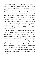(I did not take it with me into Normandy), until it was lost in a blinding snowstorm somewhere in the Ardennes during the Battle of the Bulge. While many of the pictures I took in Holland survived, most were destroyed by enemy artillery fire. Of course, none of the pictures I took in the Ardennes survived.

Although I was inducted into the Army on October 20th, 1941, I did not actually report for active duty until November 1st, taking advantage of the Army's policy of granting time to clear up business and/or personal affairs. On that date, I boarded a bus loaded with other inductees for transportation to Fort Lewis where presumably all of us would soon be indoctrinated into the mysteries of Army life. And indeed, over the next few days, we managed to get a uniform, pull KP, and learn to fall in and out twenty times a day.

On the second day, we were marched to a huge hall to hear about such things as military courtesy, venereal disease, and other matters of interest that the Army deemed important. Somewhere along the way an officer said something to the effect that the Army was looking for volunteers for a new, tough, and dangerous special unit: the Paratroops. Participants had to weigh less than one-hundred-eighty pounds, be in excellent physical condition, young, tough, etc. Not a single person, out of the several hundred present, volunteered. The officer then commented: "No one? Well, we're batting 100% on *that* so far this week," and the entire audience roared with laughter. He then proceeded to talk about a few other matters, and finally we were dismissed.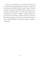I have no real recollection at what point I decided to go forward, but as the guys began filing out, I walked to the front of the auditorium and told the officer I would volunteer. Without comment, he turned to the table behind him, picked up a piece of paper, and handed it down to me. The paper simply said, "I will jump from an airplane in flight." I signed the paper and gave it back to him. He then asked me to hand up my Form 6. Immediately thereafter, my Form 6 was stamped with large red letters: PARATROOPS. At that precise moment, I became a marked man.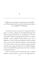\_\_\_\_\_\_\_\_\_\_\_\_\_\_\_\_\_\_\_\_\_\_\_\_\_\_\_\_\_\_\_\_\_\_\_\_

*I didn't have a clue what I was getting in to, but I didn't care. Whatever fate had in store for me in the months ahead, I was confident I could handle.* 

To this day, I am not certain why I volunteered. Pride, I guess. I was still so chagrinned at having flunked both Army and Navy physicals that there was something of an "I'll show the bastards" attitude in signing that paper. But it was absurd: probably a classic example of pride getting in the way of judgement. I was for all intents and purposes unfit for military service; in the service under false pretenses, and volunteering for a branch of the service that required maximum physical condition and courage. Furthermore, I was terrified of heights, and at one hundred fifty pounds and six feet tall, was hardly a prototype paratrooper.

I had no sooner returned to the barracks when a sergeant called me out and told me to report to the dispensary for a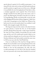special physical required of all would-be paratroopers. I was stunned! In the Army only two days and I had inadvertently put myself in position to again be put out of the service. Although it was probably the most thorough physical I had taken to date, a urinalysis apparently wasn't required. One of the doctors thought I had flat feet but didn't pursue that matter, and so I passed. The following day, I boarded a train that was to take me to Camp Blanding, Florida, near Jacksonville, to join the ranks of the fledgling 508 Parachute Infantry Regiment. I didn't have a clue what I was getting in to, but I didn't care. Whatever fate had in store for me in the months ahead, I was confident I could handle. And, strangely enough, I did with ease.

The long train trip across the country in the dead of winter was quite pleasant. I learned the fine art of three-handed pinochle, playing all day long with a couple of guys headed for the Army Air Corps in Miami. Occasionally, the train would stop, and all us new GI's would march around a block or two of some small town along the way. It was the route of the Great Northern Railroad, and I had actually traveled this same route in 1939 on my way to the New York World's Fair.

I have no recollection of the trip from Chicago south to Florida, but one beautiful, warm morning during the first week of November, I arrived at the small railroad station at Stark, Florida to view my first paratroopers, the cadre who were to make paratroopers of us all. But of the forty-five hundred who were processed, only twenty-three hundred of us survived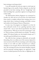basic training to reach jump school.

I can still remember the ride into camp in a truck atop our barracks bags to the catcalls of others along the way that had preceded us into basic training. All were "straight-legs" with little knowledge that a parachute regiment was being formed in their midst.

The 508 Parachute Infantry Regiment was constituted on October 20, 1942 and was to be the first of its kind formed from scratch to complete airborne basic training, move on to jump school, then to advanced training, and finally, overseas and combat in the European Theater of Operations.

In some ways, the program was designed to see how far they could push recruits. It was a grueling experience and it started with a visit to team doctors/psychiatrists who asked such questions as "Why do you want to be a paratrooper?" and/ or, "Don't you know you'll be dead in six months?" To which I replied, "If it doesn't bother you, why should it bother me?" I was told to get the hell back to my company.

But while the basic training was physically and mentally demanding, there was seldom any of the nonsense depicted in most war movies where DI's are screaming at, and/or demeaning recruits. In our outfit you either measured up to airborne standards, or you were gone. We were almost always treated like men. The screening of recruits, the extreme discipline required, and the paratroop training program was apparently a huge success as nobody questions the fact that as a fighting unit, we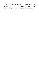were among the finest in the world. And from the very first day our officers and NCO's ran as we ran, marched as we marched, and in the field, ate as we ate, and generally lived as we lived.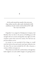\_\_\_\_\_\_\_\_\_\_\_\_\_\_\_\_\_\_\_\_\_\_\_\_\_\_\_\_\_\_\_\_\_\_\_\_

*As the weeks turned into months, then into years, long*, tedious marches, often under absolutely terrible *conditions, became routine and my beloved M-1 rifle but a toy in my hands.*

Originally, I was assigned to Headquarters Company, 2nd Battalion that was then in the process of building up to full strength with new recruits arriving daily, most right out of the reception centers from across the country. Few had seen any previous military service.

As recruits, we were provided all the things we would need that had not been previously issued upon induction into the Army. The new items included the M-1 rifle, a bayonet, a canteen, a helmet, mess gear, etc.

When I first received the M-1 and the helmet, I thought they both weighed a ton and couldn't imagine ever getting used to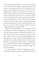either. Now, properly decked out, we were about to embark on a ten-mile march, M-1, helmet, and all. But I didn't think any of us were quite prepared for such an introduction to the infantry. Some dropped out after only a few miles, but most hobbled along on blistered feet, determined to stick it out. While I had no problems with my feet (notwithstanding that doctor at the reception center) I was near exhaustion toward the end, and with each grueling mile, my M-1 and steel helmet became unbearably heavy. As the weeks turned into months, then into years, long, tedious marches, often under absolutely terrible conditions, became routine, and my beloved M-1 rifle but a toy in my hands. The steel helmet somehow lost all its weight, becoming no more than a felt hat.

With basic training underway, we were subjected to daily five-mile "jogs" and an hour of calisthenics and/or judo. Almost every day, the group marched somewhere into and then out of the boondocks. We trained on small-unit tactics that, at our level, consisted mostly of running, crawling, digging, and/or ghting with one another, which included knocking the man around you down, and then dealing with the melee that ensued. Of course, we soon learned to play the game – especially if the guy you were supposed to knock down was Brightsman who I'll introduce you to in the next chapter. Strangely enough, some that was actually fun.

The only saving grace to all that was happening was that we didn't spend a lot of time on parade; the ground junk so dear to the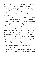hearts of chair-borne brass. Hell, we didn't even know what a "Retreat Formation" was (the lowering of the flag each evening) until nearly the end of the war. We almost never paraded, only enough to get by without looking like an unruly mob. I have a couple of great stories to tell on how we used to screw up a formation, and our post-Normandy review by Ike. But I won't get into that now.

Sometime around the fifth week, we began finding out how to fire our rifles. The stuff we went through prior to going out to the rifle range is so laughable, it's not worth mentioning. Mostly it was WWI type of training. The actual time at the range itself was a crashing bore. Mostly we spent time doing nothing until our turn came up to fire a few rounds at a target some few hundred yards away. Worse still, was our turn in the pits marking targets. A couple of days later, I was told I had qualified as an "expert." I'll never know how that came about, as I will always believe they got me confused with some other guy. While I could usually hit the target, I seriously doubt if I ever came near to the "bullseye." And the answer is simple: an M-1 is designed for neutral or right-eye firing. My left eye is the governing eye; hence, aiming with my right eye always resulted in considerable distortion. And you can't shoot an M-1 rifle from your left shoulder unless you want spent shell casings in your face as they eject.

But, for whatever reason, the dye was cast, and as an "expert rifleman," I found myself transferred to a rifle company. I didn't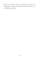know it at the time, but the survival rate of those in a Headquarters Company was infinitely better than those of us in a rifle (line) company.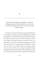\_\_\_\_\_\_\_\_\_\_\_\_\_\_\_\_\_\_\_\_\_\_\_\_\_\_\_\_\_\_\_\_\_\_\_\_

*He could charm the gold out of a banker's teeth while willingly giving him the shirt off his back. And he was my constant companion for the next twenty-two months until his death...*

Soon after arriving in F Company, I was put on KP and there met a handsome young man named Gerald Brightsman. He had also qualified as an expert rifleman and had been transferred into F Company at the same time as me. In those early days, we had a First Sergeant who could not keep an accurate duty roster. As a consequence, when he lost track of duty assignments, he would simply start all over at the beginning of the alphabet. As there were only three in the company whose name began with the letter "A," and two of those were "acting" corporals, Broderick and Brightsman frequently found themselves pulling extra duty. One of the more obnoxious duties was KP, and the dirtiest job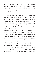on KP was the pots and pans. And so he and I, in laughing defiance of another stupid day in the kitchen, always volunteered for the job. We became wonderful, warm and close friends, scrubbing large, greasy, messy pots and associated pans, on opposite sides of the huge metal tubs that had been designed for that purpose.

Gerald Brightsman was from The Dalles, Oregon, grew up in utter poverty, apparently without a father, but he had an uncle, "Scratch," whom he was very fond of. He worked in the wheat fields with the grown men, helping to support his mother and younger brother. He had graduated from The Dalles High School in 1939, and at the age of eighteen, had left home for Los Angeles to seek a better life. After arriving there, he had no trouble landing a job in a machine shop as he had a natural flair for the mechanical and could fix almost anything, skills learned during the depth of the Depression when all the farm equipment had to be kept running. In those days, there was seldom any money for new equipment or replacement parts. His teenaged years in the wheat fields made him incredibly strong, and on those rare occasions when his anger was aroused, very damn tough. But mostly, he was a warm, outgoing guy and made friends with everybody. Above all, he loved the ladies and would screw a woodpile if he thought a snake was in it.

It was great fun to watch him operate. He could charm the gold out of a banker's teeth while willingly giving him the shirt off his back. And he was my constant companion for the next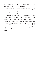twenty-two months until his death during an attack on the outskirts of the small Dutch town of Beek.

He and I had spent long hours talking and dreaming aloud of the great times we would have when the war was over. Neither of us had a very clear idea of what we were doing in the paratroops, but the potential for great danger was never of concern.

Even after all of these years, it is with immense sadness that I remember that time. A few days after the battle for Beek, Holland, I had the priveledge of being "burial sergeant." I led several of my men back to the area where my dear friend, along with Pat Rickard, Wade Smith, Chuck Logan, and a couple of others had fallen. As we looked down at what had been Gerald Brightsman, now just a discolored, stinking, maggot-infested corpse, many of the guys wept, and something went out of me that day.